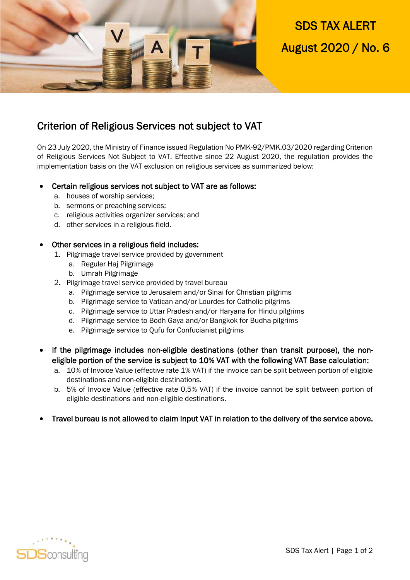

# Criterion of Religious Services not subject to VAT

On 23 July 2020, the Ministry of Finance issued Regulation No PMK-92/PMK.03/2020 regarding Criterion of Religious Services Not Subject to VAT. Effective since 22 August 2020, the regulation provides the implementation basis on the VAT exclusion on religious services as summarized below:

# Certain religious services not subject to VAT are as follows:

- a. houses of worship services;
- b. sermons or preaching services;
- c. religious activities organizer services; and
- d. other services in a religious field.

### Other services in a religious field includes:

- 1. Pilgrimage travel service provided by government
	- a. Reguler Haj Pilgrimage
	- b. Umrah Pilgrimage
- 2. Pilgrimage travel service provided by travel bureau
	- a. Pilgrimage service to Jerusalem and/or Sinai for Christian pilgrims
	- b. Pilgrimage service to Vatican and/or Lourdes for Catholic pilgrims
	- c. Pilgrimage service to Uttar Pradesh and/or Haryana for Hindu pilgrims
	- d. Pilgrimage service to Bodh Gaya and/or Bangkok for Budha pilgrims
	- e. Pilgrimage service to Qufu for Confucianist pilgrims
- If the pilgrimage includes non-eligible destinations (other than transit purpose), the noneligible portion of the service is subject to 10% VAT with the following VAT Base calculation:
	- a. 10% of Invoice Value (effective rate 1% VAT) if the invoice can be split between portion of eligible destinations and non-eligible destinations.
	- b. 5% of Invoice Value (effective rate 0,5% VAT) if the invoice cannot be split between portion of eligible destinations and non-eligible destinations.
- Travel bureau is not allowed to claim Input VAT in relation to the delivery of the service above.